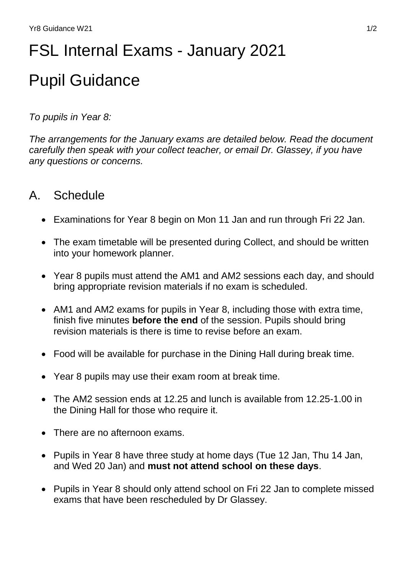# FSL Internal Exams - January 2021 Pupil Guidance

#### *To pupils in Year 8:*

*The arrangements for the January exams are detailed below. Read the document carefully then speak with your collect teacher, or email Dr. Glassey, if you have any questions or concerns.*

## A. Schedule

- Examinations for Year 8 begin on Mon 11 Jan and run through Fri 22 Jan.
- The exam timetable will be presented during Collect, and should be written into your homework planner.
- Year 8 pupils must attend the AM1 and AM2 sessions each day, and should bring appropriate revision materials if no exam is scheduled.
- AM1 and AM2 exams for pupils in Year 8, including those with extra time, finish five minutes **before the end** of the session. Pupils should bring revision materials is there is time to revise before an exam.
- Food will be available for purchase in the Dining Hall during break time.
- Year 8 pupils may use their exam room at break time.
- The AM2 session ends at 12.25 and lunch is available from 12.25-1.00 in the Dining Hall for those who require it.
- There are no afternoon exams.
- Pupils in Year 8 have three study at home days (Tue 12 Jan, Thu 14 Jan, and Wed 20 Jan) and **must not attend school on these days**.
- Pupils in Year 8 should only attend school on Fri 22 Jan to complete missed exams that have been rescheduled by Dr Glassey.